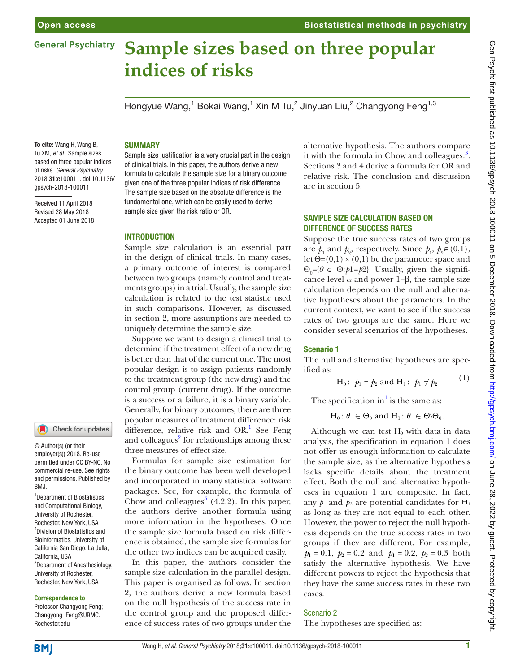**General Psychiatry** 

# **Sample sizes based on three popular indices of risks**

Hongyue Wang,<sup>1</sup> Bokai Wang,<sup>1</sup> Xin M Tu,<sup>2</sup> Jinyuan Liu,<sup>2</sup> Changyong Feng<sup>1,3</sup>

To cite: Wang H, Wang B, Tu XM, *et al*. Sample sizes based on three popular indices of risks. *General Psychiatry* 2018;31:e100011. doi:10.1136/ gpsych-2018-100011

Received 11 April 2018 Revised 28 May 2018 Accepted 01 June 2018

## Check for updates

© Author(s) (or their employer(s)) 2018. Re-use permitted under CC BY-NC. No commercial re-use. See rights and permissions. Published by BMJ.

1 Department of Biostatistics and Computational Biology, University of Rochester, Rochester, New York, USA 2 Division of Biostatistics and Bioinformatics, University of California San Diego, La Jolla, California, USA <sup>3</sup>Department of Anesthesiology, University of Rochester, Rochester, New York, USA

#### Correspondence to

Professor Changyong Feng; Changyong\_Feng@URMC. Rochester.edu

#### **SUMMARY**

Sample size justification is a very crucial part in the design of clinical trials. In this paper, the authors derive a new formula to calculate the sample size for a binary outcome given one of the three popular indices of risk difference. The sample size based on the absolute difference is the fundamental one, which can be easily used to derive sample size given the risk ratio or OR.

#### **INTRODUCTION**

Sample size calculation is an essential part in the design of clinical trials. In many cases, a primary outcome of interest is compared between two groups (namely control and treatments groups) in a trial. Usually, the sample size calculation is related to the test statistic used in such comparisons. However, as discussed in section 2, more assumptions are needed to uniquely determine the sample size.

Suppose we want to design a clinical trial to determine if the treatment effect of a new drug is better than that of the current one. The most popular design is to assign patients randomly to the treatment group (the new drug) and the control group (current drug). If the outcome is a success or a failure, it is a binary variable. Generally, for binary outcomes, there are three popular measures of treatment difference: risk difference, relative risk and OR.<sup>1</sup> See Feng and colleagues<sup>[2](#page-2-1)</sup> for relationships among these three measures of effect size.

Formulas for sample size estimation for the binary outcome has been well developed and incorporated in many statistical software packages. See, for example, the formula of Chow and colleagues<sup>[3](#page-2-2)</sup>  $(4.2.2)$ . In this paper, the authors derive another formula using more information in the hypotheses. Once the sample size formula based on risk difference is obtained, the sample size formulas for the other two indices can be acquired easily.

In this paper, the authors consider the sample size calculation in the parallel design. This paper is organised as follows. In section 2, the authors derive a new formula based on the null hypothesis of the success rate in the control group and the proposed difference of success rates of two groups under the

alternative hypothesis. The authors compare it with the formula in Chow and colleagues*.* [3](#page-2-2) . Sections 3 and 4 derive a formula for OR and relative risk. The conclusion and discussion are in section 5.

## Sample size calculation based on difference of success rates

Suppose the true success rates of two groups are  $p_1$  and  $p_2$ , respectively. Since  $p_1$ ,  $p_2 \in (0,1)$ , let  $\Theta=(0,1)\times(0,1)$  be the parameter space and  $\Theta_0 = {\theta \in \Theta : p1 = p2}$ . Usually, given the significance level  $\alpha$  and power 1– $\beta$ , the sample size calculation depends on the null and alternative hypotheses about the parameters. In the current context, we want to see if the success rates of two groups are the same. Here we consider several scenarios of the hypotheses.

#### Scenario 1

The null and alternative hypotheses are specified as:

H<sub>0</sub>: 
$$
p_1 = p_2
$$
 and H<sub>1</sub>:  $p_1 \neq p_2$  (1)

The specification in $<sup>1</sup>$  $<sup>1</sup>$  $<sup>1</sup>$  is the same as:</sup>

 $H_0: \theta \in \Theta_0$  and  $H_1: \theta \in \Theta \backslash \Theta_0$ .

Although we can test  $H_0$  with data in data analysis, the specification in equation 1 does not offer us enough information to calculate the sample size, as the alternative hypothesis lacks specific details about the treatment effect. Both the null and alternative hypotheses in equation 1 are composite. In fact, any  $p_1$  and  $p_2$  are potential candidates for  $H_1$ as long as they are not equal to each other. However, the power to reject the null hypothesis depends on the true success rates in two groups if they are different. For example,  $p_1 = 0.1$ ,  $p_2 = 0.2$  and  $p_1 = 0.2$ ,  $p_2 = 0.3$  both satisfy the alternative hypothesis. We have different powers to reject the hypothesis that they have the same success rates in these two cases.

#### Scenario 2

The hypotheses are specified as: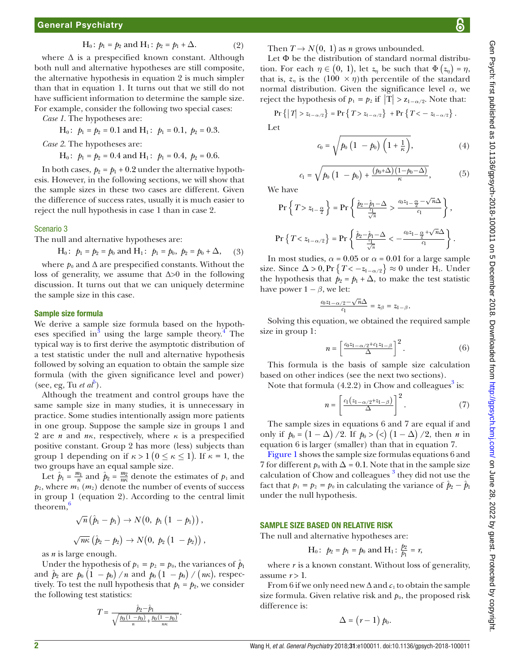$$
H_0
$$
:  $p_1 = p_2$  and  $H_1$ :  $p_2 = p_1 + \Delta$ . (2)

where  $\Delta$  is a prespecified known constant. Although both null and alternative hypotheses are still composite, the alternative hypothesis in equation 2 is much simpler than that in equation 1. It turns out that we still do not have sufficient information to determine the sample size. For example, consider the following two special cases:

*Case 1*. The hypotheses are:

H<sub>0</sub>: 
$$
p_1 = p_2 = 0.1
$$
 and H<sub>1</sub>:  $p_1 = 0.1$ ,  $p_2 = 0.3$ .

*Case 2*. The hypotheses are:

 $H_0$ :  $p_1 = p_2 = 0.4$  and  $H_1$ :  $p_1 = 0.4$ ,  $p_2 = 0.6$ .

In both cases,  $p_2 = p_1 + 0.2$  under the alternative hypothesis. However, in the following sections, we will show that the sample sizes in these two cases are different. Given the difference of success rates, usually it is much easier to reject the null hypothesis in case 1 than in case 2.

### Scenario 3

The null and alternative hypotheses are:

H<sub>0</sub>: 
$$
p_1 = p_2 = p_0
$$
 and H<sub>1</sub>:  $p_1 = p_0$ ,  $p_2 = p_0 + \Delta$ , (3)

where  $p_0$  and  $\Delta$  are prespecified constants. Without the loss of generality, we assume that  $\Delta > 0$  in the following discussion. It turns out that we can uniquely determine the sample size in this case.

### Sample size formula

We derive a sample size formula based on the hypoth-eses specified in<sup>[3](#page-2-2)</sup> using the large sample theory.<sup>[4](#page-2-3)</sup> The typical way is to first derive the asymptotic distribution of a test statistic under the null and alternative hypothesis followed by solving an equation to obtain the sample size formula (with the given significance level and power) (see, eg, Tu *et al*<sup> $\tilde{p}$ </sup>).

Although the treatment and control groups have the same sample size in many studies, it is unnecessary in practice. Some studies intentionally assign more patients in one group. Suppose the sample size in groups 1 and 2 are *n* and *nκ*, respectively, where *κ* is a prespecified positive constant. Group 2 has more (less) subjects than group 1 depending on if  $\kappa > 1$  ( $0 \le \kappa \le 1$ ). If  $\kappa = 1$ , the two groups have an equal sample size.

Let  $\hat{p}_1 = \frac{m_1}{n}$  and  $\hat{p}_2 = \frac{m_2}{n\kappa}$  denote the estimates of  $p_1$  and  $p_2$ , where  $m_1$  ( $m_2$ ) denote the number of events of success in group 1 (equation 2). According to the central limit theorem. $<sup>6</sup>$ </sup>

$$
\sqrt{n} \left( \hat{p}_1 - p_1 \right) \rightarrow N \big( 0, p_1 \left( 1 - p_1 \right) \big),
$$
  

$$
\sqrt{n\kappa} \left( \hat{p}_2 - p_2 \right) \rightarrow N \big( 0, p_2 \left( 1 - p_2 \right) \big),
$$

as *n* is large enough.

Under the hypothesis of  $p_1 = p_2 = p_0$ , the variances of  $\hat{p}_1$ and  $\hat{p}_2$  are  $p_0(1 - p_0) / n$  and  $p_0(1 - p_0) / (n\kappa)$ , respectively. To test the null hypothesis that  $p_1 = p_2$ , we consider the following test statistics:

$$
T = \frac{\hat{p}_2 - \hat{p}_1}{\sqrt{\frac{p_0(1 - p_0)}{n} + \frac{p_0(1 - p_0)}{n\kappa}}}.
$$

Gen Psych: first published as 10.1136/gpsych-2018-100011 on 5 December 2018. Downloaded from http://gpsych.bmj.com/ on June 28, 2022 by guest. Protected by copyright Gen Psych: first published as 10.1136/gpsych-2018-100011 on 5 December 2018. Downloaded from <http://gpsych.bmj.com/> on June 28, 2022 by guest. Protected by copyright.

Then  $T \to N(0, 1)$  as *n* grows unbounded.

Let Φ be the distribution of standard normal distribution. For each  $\eta \in (0, 1)$ , let  $z_{\eta}$  be such that  $\Phi(z_{\eta}) = \eta$ , that is,  $z_n$  is the (100  $\times$  *η*)th percentile of the standard normal distribution. Given the significance level *α*, we reject the hypothesis of  $p_1 = p_2$  if  $|\mathbf{T}| > \mathbf{z}_{1-\alpha/2}$ . Note that:

$$
\Pr\left\{\left|\left.T\right|>z_{1-\alpha/2}\right\}=\Pr\left\{\left.T>z_{1-\alpha/2}\right\}\right.\left.+ \Pr\left\{\left.T<-z_{1-\alpha/2}\right\}\right.\right).
$$

Let

$$
c_0 = \sqrt{p_0 \left(1 \ - p_0\right) \left(1 + \frac{1}{\kappa}\right)},\tag{4}
$$

$$
c_1 = \sqrt{p_0 (1 - p_0) + \frac{(p_0 + \Delta)(1 - p_0 - \Delta)}{\kappa}},
$$
 (5)

We have

$$
\begin{aligned} \Pr\left\{\left.T>z_{1-\frac{\alpha}{2}}\right\}&=\Pr\left\{\frac{\hat{p}_2-\hat{p}_1-\Delta}{\frac{c_1}{\sqrt{n}}}> \frac{\frac{\alpha}{2}-\sqrt{n}\Delta}{c_1}\right\},\\ \Pr\left\{\left.T
$$

In most studies,  $\alpha$  = 0.05 or  $\alpha$  = 0.01 for a large sample size. Since  $\Delta > 0$ , Pr {  $T < -z_{1-\alpha/2}$ } ≈ 0 under H<sub>1</sub>. Under the hypothesis that  $p_2 = p_1 + \Delta$ , to make the test statistic have power  $1 - \beta$ , we let:

$$
\frac{c_0z_{1-\alpha/2}-\sqrt{n}\Delta}{c_1}=z_\beta=z_{1-\beta}.
$$

Solving this equation, we obtained the required sample size in group 1:

$$
n = \left[\frac{c_0 z_{1-\alpha/2} + c_1 z_{1-\beta}}{\Delta}\right]^2.
$$
 (6)

This formula is the basis of sample size calculation based on other indices (see the next two sections).

Note that formula  $(4.2.2)$  in Chow and colleagues<sup>[3](#page-2-2)</sup> is:

$$
n = \left[\frac{c_1(z_{1-\alpha/2}+z_{1-\beta})}{\Delta}\right]^2.
$$
 (7)

The sample sizes in equations 6 and 7 are equal if and only if  $p_0 = (1 - \Delta) / 2$ . If  $p_0 > ($ ) (1 − \Delta) / 2, then *n* in equation 6 is larger (smaller) than that in equation 7.

[Figure](#page-2-6) 1 shows the sample size formulas equations 6 and 7 for different  $p_0$  with  $\Delta = 0.1$ . Note that in the sample size calculation of Chow and colleagues<sup>[3](#page-2-2)</sup> they did not use the fact that  $p_1 = p_2 = p_0$  in calculating the variance of  $\hat{p}_2 - \hat{p}_1$ under the null hypothesis.

### Sample size based on relative risk

The null and alternative hypotheses are:

H<sub>0</sub>: 
$$
p_2 = p_1 = p_0
$$
 and H<sub>1</sub>:  $\frac{p_2}{p_1} = r$ ,

where  $r$  is a known constant. Without loss of generality, assume  $r > 1$ .

From 6 if we only need new  $\Delta$  and  $c_1$  to obtain the sample size formula. Given relative risk and  $p_0$ , the proposed risk difference is:

$$
\Delta = (r-1) p_0.
$$